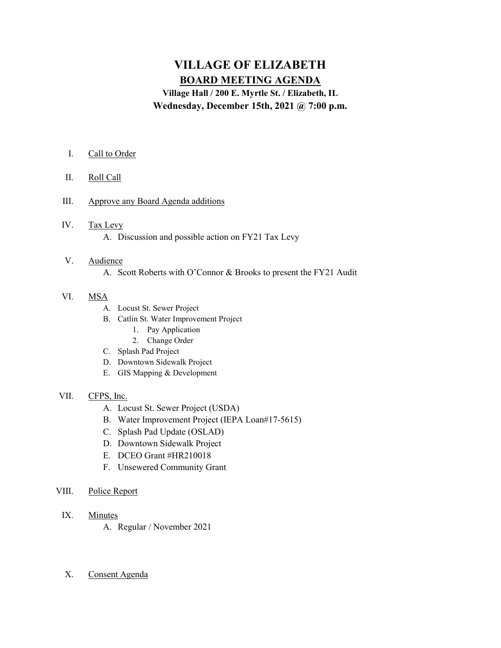# VILLAGE OF ELIZABETH BOARD MEETING AGENDA

Village Hall / 200 E. Myrtle St. / Elizabeth, IL Wednesday, December 15th, 2021 @ 7:00 p.m.

- I. Call to Order
- II. Roll Call
- III. Approve any Board Agenda additions
- IV. Tax Levy A. Discussion and possible action on FY21 Tax Levy

## V. Audience A. Scott Roberts with O'Connor & Brooks to present the FY21 Audit

#### VI. MSA

- A. Locust St. Sewer Project
- B. Catlin St. Water Improvement Project
	- 1. Pay Application
	- 2. Change Order
- C. Splash Pad Project
- D. Downtown Sidewalk Project
- E. GIS Mapping & Development

### VII. CFPS, Inc.

- A. Locust St. Sewer Project (USDA)
- B. Water Improvement Project (IEPA Loan#17-5615)
- C. Splash Pad Update (OSLAD)
- D. Downtown Sidewalk Project
- E. DCEO Grant #HR210018
- F. Unsewered Community Grant
- VIII. Police Report
	- IX. Minutes
		- A. Regular / November 2021

### X. Consent Agenda